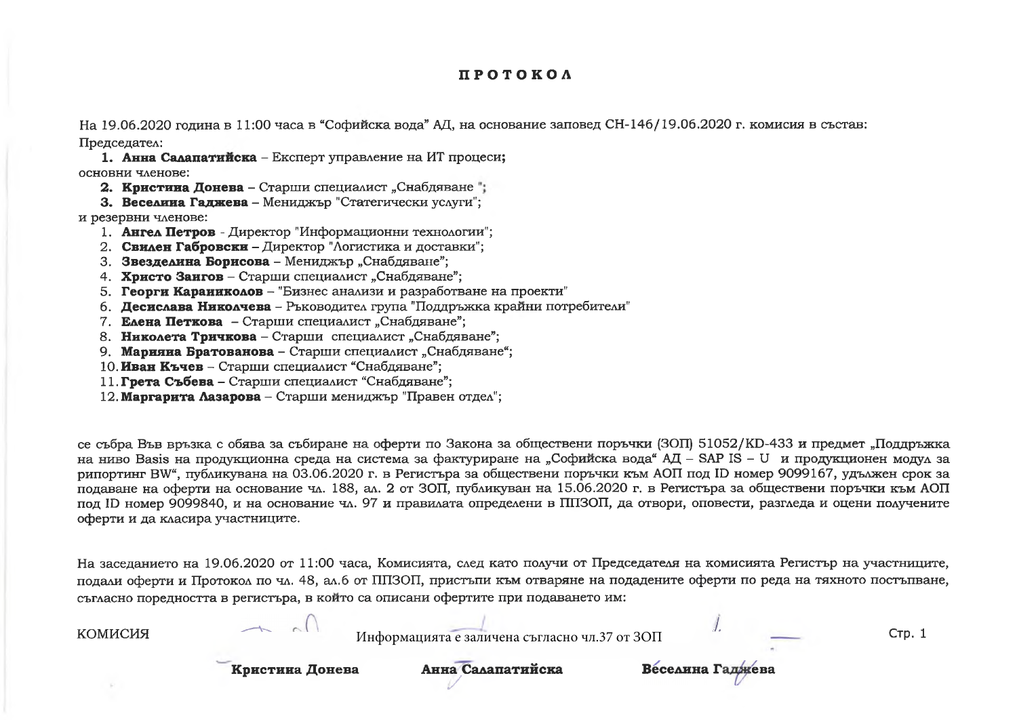## **ПРОТОКОЛ**

На 19.06.2020 година в 11:00 часа в "Софийска вода" АД, на основание заповед СН-146/19.06.2020 г. комисия в състав: Председател:

1. Анна Салапатийска - Експерт управление на ИТ процеси; основни членове:

2. Кристина Донева - Старши специалист "Снабдяване";

З. Веселина Галжева - Мениджър "Статегически услуги":

и резервни членове:

1. Ангел Петров - Директор "Информационни технологии";

2. Свилен Габровски – Лиректор "Логистика и доставки":

3. Звезделина Борисова - Мениджър "Снабдяване";

4. Христо Заигов - Старши специалист "Снабдяване";

5. Георги Караинколов - "Бизнес анализи и разработване на проекти"

6. Десислава Николчева – Ръководител група "Поддръжка крайни потребители"

7. Елена Петкова - Старши специалист "Снабдяване";

8. Николета Тричкова - Старши специалист "Снабдяване";

9. Марияна Братованова - Старши специалист "Снабдяване";

10. Иван Къчев - Старши специалист "Снабдяване":

11. Грета Събева - Старши специалист "Снабдяване";

12. Маргарита Лазарова - Старши мениджър "Правен отдел";

се събра Във връзка с обява за събиране на оферти по Закона за обществени поръчки (ЗОП) 51052/KD-433 и предмет "Поддръжка на ниво Basis на продукционна среда на система за фактуриране на "Софийска вода" АД – SAP IS – U и продукционен модул за рипортинг BW", публикувана на 03.06.2020 г. в Регистъра за обществени поръчки към АОП под ID номер 9099167, удължен срок за подаване на оферти на основание чл. 188, ал. 2 от ЗОП, публикуван на 15.06.2020 г. в Регистъра за обществени поръчки към АОП под ID номер 9099840, и на основание чл. 97 и правилата определени в ППЗОП, да отвори, оповести, разгледа и оцени получените оферти и да класира участниците.

На заселанието на 19.06.2020 от 11:00 часа, Комисията, след като получи от Председателя на комисията Регистър на участниците, подали оферти и Протокол по чл. 48, ал.6 от ППЗОП, пристъпи към отваряне на подадените оферти по реда на тяхното постъпване, съгласно поредността в регистъра, в който са описани офертите при подаването им:

| <b>КОМИСИЯ</b> |                 | Информацията е заличена съгласно чл.37 от ЗОП |                  | Стр. 1 |
|----------------|-----------------|-----------------------------------------------|------------------|--------|
|                | Кристина Донева | Анна Салапатийска                             | Веселина Гаджева |        |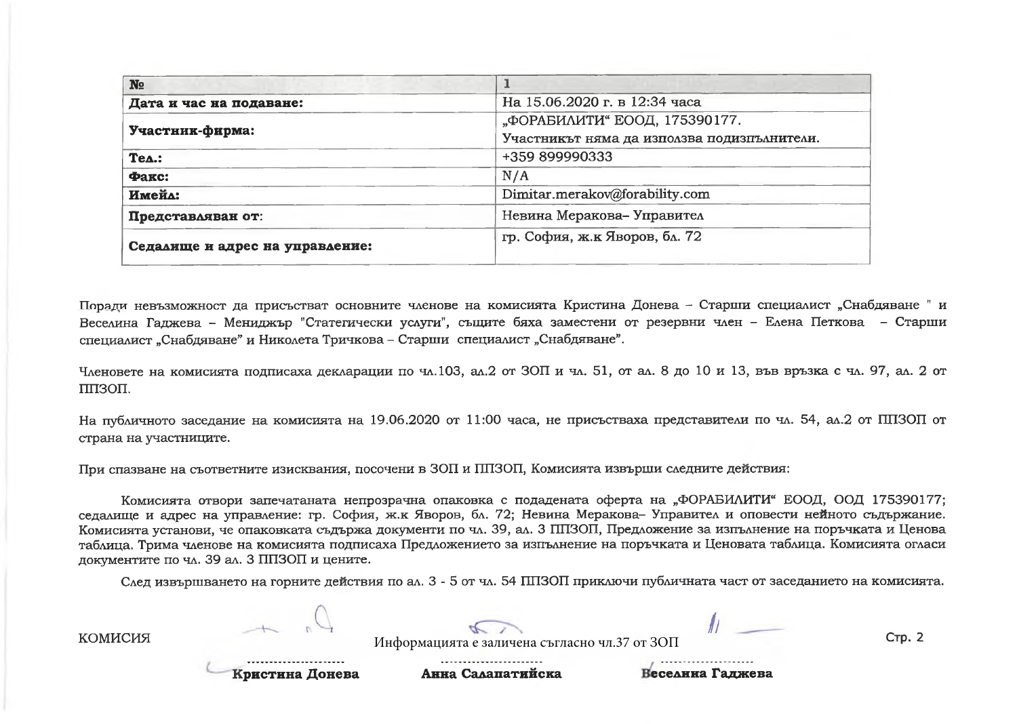| N <sub>2</sub>                  |                                             |  |  |
|---------------------------------|---------------------------------------------|--|--|
| Дата и час на подаване:         | На 15.06.2020 г. в 12:34 часа               |  |  |
|                                 | "ФОРАБИЛИТИ" ЕООД, 175390177.               |  |  |
| Участник-фирма:                 | Участникът няма да използва подизиълнители. |  |  |
| $TeA.$ :                        | +359 899990333                              |  |  |
| Факс:                           | N/A                                         |  |  |
| Имейл:                          | Dimitar.merakov@forability.com              |  |  |
| Представляван от:               | Невина Меракова- Управител                  |  |  |
| Седалище и адрес на управление: | гр. София, ж.к Яворов, бл. 72               |  |  |

Поради невъзможност да присъстват основните членове на комисията Кристина Донева - Старши специалист "Снабдяване " и Веселина Гаджева – Мениджър "Статегически услуги", същите бяха заместени от резервни член – Елена Петкова – Старши специалист "Снабдяване" и Николета Тричкова - Старши специалист "Снабдяване".

Членовете на комисията подписаха декларации по чл.103, ал.2 от ЗОП и чл. 51, от ал. 8 до 10 и 13, във връзка с чл. 97, ал. 2 от ППЗОП.

На публичното заседание на комисията на 19.06.2020 от 11:00 часа, не присъстваха представители по чл. 54, ал.2 от ППЗОП от страна на участниците.

При спазване на съответните изисквания, посочени в ЗОП и ППЗОП, Комисията извърши следните действия:

Комисията отвори запечатаната непрозрачна опаковка с подадената оферта на "ФОРАБИЛИТИ" ЕООД, ООД 175390177: седалище и адрес на управление: гр. София, ж.к Яворов, бл. 72; Невина Меракова- Управител и оповести нейното съдържание. Комисията установи, че опаковката съдържа документи по чл. 39, ал. 3 ППЗОП, Предложение за изпълнение на поръчката и Ценова таблица. Трима членове на комисията подписаха Предложението за изпълнение на поръчката и Ценовата таблица. Комисията огласи документите по чл. 39 ал. 3 ППЗОП и цените.

След извършването на горните действия по ал. 3 - 5 от чл. 54 ППЗОП приключи публичната част от заседанието на комисията.

| КОМИСИЯ<br>Стр. 2<br>Информацията е заличена съгласно чл.37 от ЗОП |
|--------------------------------------------------------------------|
|--------------------------------------------------------------------|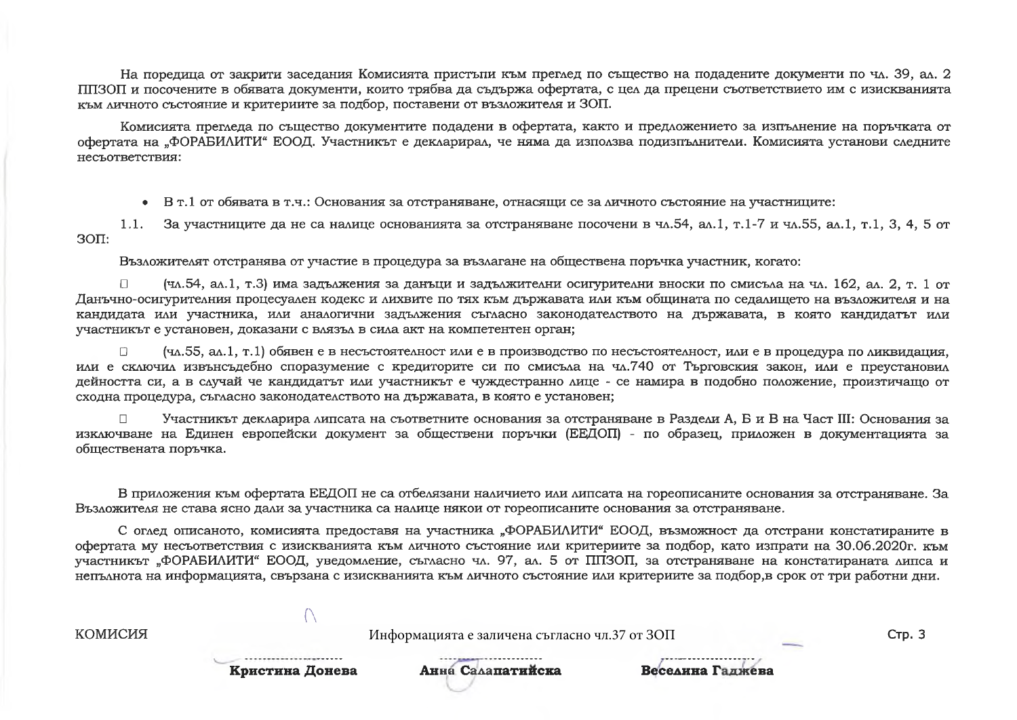На поредица от закрити заседания Комисията пристыли към преглед по същество на подадените документи по чл. 39, ал. 2 ППЗОП и посочените в обявата документи, които трябва да съдържа офертата, с цел да прецени съответствието им с изискванията към личното състояние и критериите за подбор, поставени от възложителя и ЗОП.

Комисията прегледа по същество документите подадени в офертата, както и предложението за изпълнение на поръчката от офертата на "ФОРАБИЛИТИ" ЕООД. Участникът е декларирал, че няма да използва подизпълнители. Комисията установи следните несъответствия:

• В т.1 от обявата в т.ч.: Основания за отстраняване, отнасящи се за личното състояние на участниците:

За участниците да не са налице основанията за отстраняване посочени в чл.54, ал.1, т.1-7 и чл.55, ал.1, т.1, 3, 4, 5 от  $1.1.$  $30\Pi$ :

Възложителят отстранява от участие в процедура за възлагане на обществена поръчка участник, когато:

(чл.54, ал.1, т.3) има задължения за данъци и задължителни осигурителни вноски по смисъла на чл. 162, ал. 2, т. 1 от Данъчно-осигурителния процесуален кодекс и лихвите по тях към държавата или към общината по седалището на възложителя и на кандидата или участника, или аналогични задължения съгласно законодателството на държавата, в която кандидатът или участникът е установен, доказани с влязъл в сила акт на компетентен орган;

(чл.55, ал.1, т.1) обявен е в несъстоятелност или е в производство по несъстоятелност, или е в процедура по ликвидация,  $\Box$ или е сключил извънсъдебно споразумение с кредиторите си по смисъла на чл.740 от Търговския закон, или е преустановил дейността си, а в случай че кандидатът или участникът е чуждестранно лице - се намира в подобно положение, произтичащо от сходна процедура, съгласно законодателството на държавата, в която е установен;

Участникът декларира липсата на съответните основания за отстраняване в Раздели А, Б и В на Част III: Основания за изключване на Единен европейски документ за обществени поръчки (ЕЕДОП) - по образец, приложен в документацията за обществената поръчка.

В приложения към офертата ЕЕДОП не са отбелязани наличието или липсата на гореописаните основания за отстраняване. За Възложителя не става ясно дали за участника са налице някои от гореописаните основания за отстраняване.

С оглед описаното, комисията предоставя на участника "ФОРАБИЛИТИ" ЕООД, възможност да отстрани констатираните в офертата му несъответствия с изискванията към личното състояние или критериите за подбор, като изпрати на 30.06.2020г. към участникът "ФОРАБИЛИТИ" ЕООД, уведомление, съгласно чл. 97, ал. 5 от ППЗОП, за отстраняване на констатираната липса и непълнота на информацията, свързана с изискванията към личното състояние или критериите за подбор,в срок от три работни дни.

**КОМИСИЯ** Информацията е заличена съгласно чл.37 от ЗОП **Стр. 3** Анна Салапатийска Кристина Донева Веселина Галжева